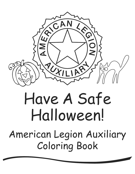

## Have A Safe Halloween!

American Legion Auxiliary Coloring Book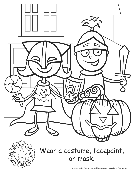



### Wear a costume, facepaint, or mask.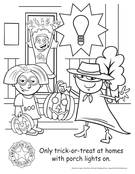

# Q

## Only trick-or-treat at homes with porch lights on.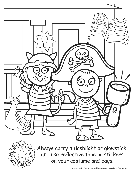



Always carry a flashlight or glowstick, and use reflective tape or stickers on your costume and bags.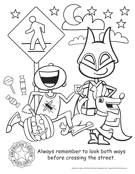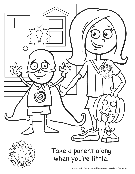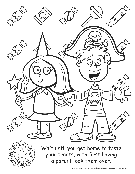



Wait until you get home to taste your treats, with first having a parent look them over.